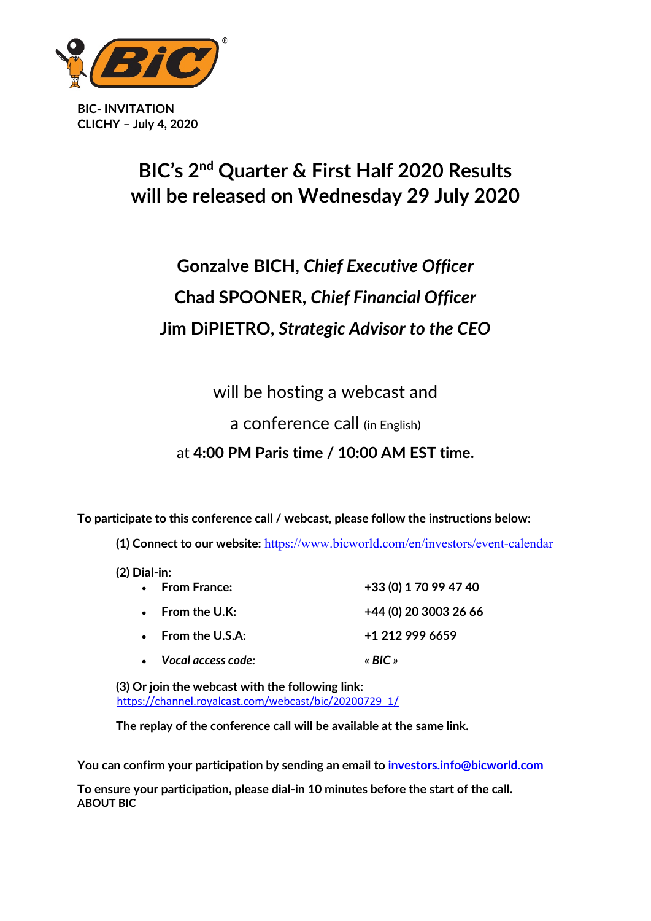

**BIC- INVITATION CLICHY – July 4, 2020**

## **BIC's 2<sup>nd</sup> Quarter & First Half 2020 Results will be released on Wednesday 29 July 2020**

# **Gonzalve BICH,** *Chief Executive Officer* **Chad SPOONER,** *Chief Financial Officer* **Jim DiPIETRO,** *Strategic Advisor to the CEO*

will be hosting a webcast and

#### a conference call (in English)

### at **4:00 PM Paris time / 10:00 AM EST time.**

**To participate to this conference call / webcast, please follow the instructions below:** 

(1) Connect to our website: <https://www.bicworld.com/en/investors/event-calendar>

**(2) Dial-in:**

| • From France:               | +33 (0) 1 70 99 47 40 |
|------------------------------|-----------------------|
| $\bullet$ From the U.K:      | +44 (0) 20 3003 26 66 |
| $\bullet$ From the U.S.A:    | +1 212 999 6659       |
| $\bullet$ Vocal access code: | « $BIC$ »             |

**(3) Or join the webcast with the following link:**  [https://channel.royalcast.com/webcast/bic/20200729\\_1/](https://channel.royalcast.com/webcast/bic/20200729_1/)

**The replay of the conference call will be available at the same link.**

**Youcan confirm your participation by sending an email to [investors.info@bicworld.com](mailto:investors.info@bicworld.com)** 

**To ensure your participation, please dial-in 10 minutes before the start of the call. ABOUT BIC**